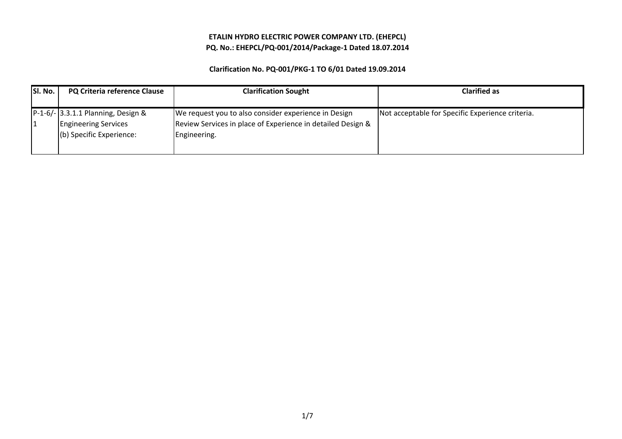### ETALIN HYDRO ELECTRIC POWER COMPANY LTD. (EHEPCL)PQ. No.: EHEPCL/PQ-001/2014/Package-1 Dated 18.07.2014

| SI. No. | PQ Criteria reference Clause                                                                  | <b>Clarification Sought</b>                                                                                                         | <b>Clarified as</b>                              |
|---------|-----------------------------------------------------------------------------------------------|-------------------------------------------------------------------------------------------------------------------------------------|--------------------------------------------------|
|         | P-1-6/- 3.3.1.1 Planning, Design &<br><b>Engineering Services</b><br>(b) Specific Experience: | We request you to also consider experience in Design<br>Review Services in place of Experience in detailed Design &<br>Engineering. | Not acceptable for Specific Experience criteria. |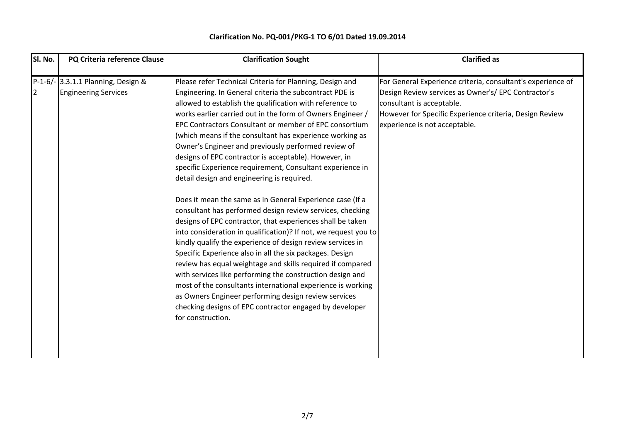| P-1-6/- 3.3.1.1 Planning, Design &<br>Please refer Technical Criteria for Planning, Design and<br><b>Engineering Services</b><br>Engineering. In General criteria the subcontract PDE is<br>12<br>allowed to establish the qualification with reference to<br>works earlier carried out in the form of Owners Engineer /<br>EPC Contractors Consultant or member of EPC consortium<br>(which means if the consultant has experience working as<br>Owner's Engineer and previously performed review of<br>designs of EPC contractor is acceptable). However, in<br>specific Experience requirement, Consultant experience in<br>detail design and engineering is required.<br>Does it mean the same as in General Experience case (If a<br>consultant has performed design review services, checking<br>designs of EPC contractor, that experiences shall be taken<br>into consideration in qualification)? If not, we request you to<br>kindly qualify the experience of design review services in<br>Specific Experience also in all the six packages. Design<br>review has equal weightage and skills required if compared<br>with services like performing the construction design and<br>most of the consultants international experience is working<br>as Owners Engineer performing design review services<br>checking designs of EPC contractor engaged by developer<br>for construction. | For General Experience criteria, consultant's experience of<br>Design Review services as Owner's/ EPC Contractor's<br>consultant is acceptable.<br>However for Specific Experience criteria, Design Review<br>experience is not acceptable. |
|--------------------------------------------------------------------------------------------------------------------------------------------------------------------------------------------------------------------------------------------------------------------------------------------------------------------------------------------------------------------------------------------------------------------------------------------------------------------------------------------------------------------------------------------------------------------------------------------------------------------------------------------------------------------------------------------------------------------------------------------------------------------------------------------------------------------------------------------------------------------------------------------------------------------------------------------------------------------------------------------------------------------------------------------------------------------------------------------------------------------------------------------------------------------------------------------------------------------------------------------------------------------------------------------------------------------------------------------------------------------------------------------------|---------------------------------------------------------------------------------------------------------------------------------------------------------------------------------------------------------------------------------------------|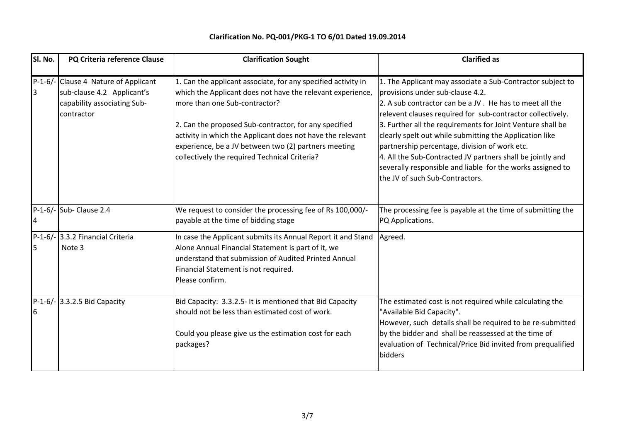| SI. No. | PQ Criteria reference Clause                                                                                    | <b>Clarification Sought</b>                                                                                                                                                                                                                                                                                                                                                                  | <b>Clarified as</b>                                                                                                                                                                                                                                                                                                                                                                                                                                                                                                                                              |
|---------|-----------------------------------------------------------------------------------------------------------------|----------------------------------------------------------------------------------------------------------------------------------------------------------------------------------------------------------------------------------------------------------------------------------------------------------------------------------------------------------------------------------------------|------------------------------------------------------------------------------------------------------------------------------------------------------------------------------------------------------------------------------------------------------------------------------------------------------------------------------------------------------------------------------------------------------------------------------------------------------------------------------------------------------------------------------------------------------------------|
|         | P-1-6/- Clause 4 Nature of Applicant<br>sub-clause 4.2 Applicant's<br>capability associating Sub-<br>contractor | 1. Can the applicant associate, for any specified activity in<br>which the Applicant does not have the relevant experience,<br>more than one Sub-contractor?<br>2. Can the proposed Sub-contractor, for any specified<br>activity in which the Applicant does not have the relevant<br>experience, be a JV between two (2) partners meeting<br>collectively the required Technical Criteria? | 1. The Applicant may associate a Sub-Contractor subject to<br>provisions under sub-clause 4.2.<br>2. A sub contractor can be a JV. He has to meet all the<br>relevent clauses required for sub-contractor collectively.<br>3. Further all the requirements for Joint Venture shall be<br>clearly spelt out while submitting the Application like<br>partnership percentage, division of work etc.<br>4. All the Sub-Contracted JV partners shall be jointly and<br>severally responsible and liable for the works assigned to<br>the JV of such Sub-Contractors. |
| 4       | P-1-6/- Sub- Clause 2.4                                                                                         | We request to consider the processing fee of Rs 100,000/-<br>payable at the time of bidding stage                                                                                                                                                                                                                                                                                            | The processing fee is payable at the time of submitting the<br>PQ Applications.                                                                                                                                                                                                                                                                                                                                                                                                                                                                                  |
| 15      | P-1-6/- 3.3.2 Financial Criteria<br>Note 3                                                                      | In case the Applicant submits its Annual Report it and Stand<br>Alone Annual Financial Statement is part of it, we<br>understand that submission of Audited Printed Annual<br>Financial Statement is not required.<br>Please confirm.                                                                                                                                                        | Agreed.                                                                                                                                                                                                                                                                                                                                                                                                                                                                                                                                                          |
| 6       | $P-1-6$ - 3.3.2.5 Bid Capacity                                                                                  | Bid Capacity: 3.3.2.5- It is mentioned that Bid Capacity<br>should not be less than estimated cost of work.<br>Could you please give us the estimation cost for each<br>packages?                                                                                                                                                                                                            | The estimated cost is not required while calculating the<br>"Available Bid Capacity".<br>However, such details shall be required to be re-submitted<br>by the bidder and shall be reassessed at the time of<br>evaluation of Technical/Price Bid invited from prequalified<br>bidders                                                                                                                                                                                                                                                                            |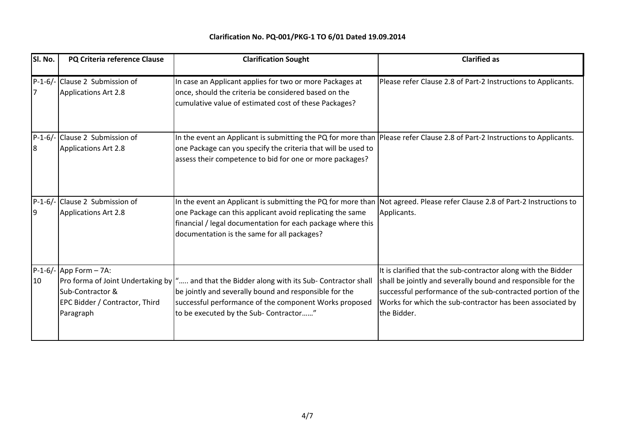| SI. No. | PQ Criteria reference Clause                                                                 | <b>Clarification Sought</b>                                                                                                                                                                                                                                                                           | <b>Clarified as</b>                                                                                                                                                                                                                                                      |
|---------|----------------------------------------------------------------------------------------------|-------------------------------------------------------------------------------------------------------------------------------------------------------------------------------------------------------------------------------------------------------------------------------------------------------|--------------------------------------------------------------------------------------------------------------------------------------------------------------------------------------------------------------------------------------------------------------------------|
|         | P-1-6/- Clause 2 Submission of<br><b>Applications Art 2.8</b>                                | In case an Applicant applies for two or more Packages at<br>once, should the criteria be considered based on the<br>cumulative value of estimated cost of these Packages?                                                                                                                             | Please refer Clause 2.8 of Part-2 Instructions to Applicants.                                                                                                                                                                                                            |
| 8       | P-1-6/- Clause 2 Submission of<br><b>Applications Art 2.8</b>                                | In the event an Applicant is submitting the PQ for more than Please refer Clause 2.8 of Part-2 Instructions to Applicants.<br>one Package can you specify the criteria that will be used to<br>assess their competence to bid for one or more packages?                                               |                                                                                                                                                                                                                                                                          |
| 19      | P-1-6/- Clause 2 Submission of<br><b>Applications Art 2.8</b>                                | In the event an Applicant is submitting the PQ for more than Not agreed. Please refer Clause 2.8 of Part-2 Instructions to<br>one Package can this applicant avoid replicating the same<br>financial / legal documentation for each package where this<br>documentation is the same for all packages? | Applicants.                                                                                                                                                                                                                                                              |
| 10      | $P-1-6$ /- App Form - 7A:<br>Sub-Contractor &<br>EPC Bidder / Contractor, Third<br>Paragraph | Pro forma of Joint Undertaking by   " and that the Bidder along with its Sub- Contractor shall<br>be jointly and severally bound and responsible for the<br>successful performance of the component Works proposed<br>to be executed by the Sub- Contractor"                                          | It is clarified that the sub-contractor along with the Bidder<br>shall be jointly and severally bound and responsible for the<br>successful performance of the sub-contracted portion of the<br>Works for which the sub-contractor has been associated by<br>the Bidder. |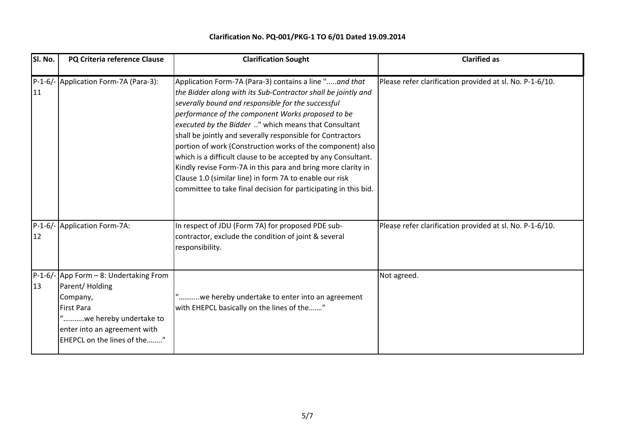| Sl. No. | PQ Criteria reference Clause                                                                                                                                                        | <b>Clarification Sought</b>                                                                                                                                                                                                                                                                                                                                                                                                                                                                                                                                                                                                                                                           | <b>Clarified as</b>                                      |
|---------|-------------------------------------------------------------------------------------------------------------------------------------------------------------------------------------|---------------------------------------------------------------------------------------------------------------------------------------------------------------------------------------------------------------------------------------------------------------------------------------------------------------------------------------------------------------------------------------------------------------------------------------------------------------------------------------------------------------------------------------------------------------------------------------------------------------------------------------------------------------------------------------|----------------------------------------------------------|
| 11      | P-1-6/- Application Form-7A (Para-3):                                                                                                                                               | Application Form-7A (Para-3) contains a line "and that<br>the Bidder along with its Sub-Contractor shall be jointly and<br>severally bound and responsible for the successful<br>performance of the component Works proposed to be<br>executed by the Bidder " which means that Consultant<br>shall be jointly and severally responsible for Contractors<br>portion of work (Construction works of the component) also<br>which is a difficult clause to be accepted by any Consultant.<br>Kindly revise Form-7A in this para and bring more clarity in<br>Clause 1.0 (similar line) in form 7A to enable our risk<br>committee to take final decision for participating in this bid. | Please refer clarification provided at sl. No. P-1-6/10. |
| 12      | P-1-6/- Application Form-7A:                                                                                                                                                        | In respect of JDU (Form 7A) for proposed PDE sub-<br>contractor, exclude the condition of joint & several<br>responsibility.                                                                                                                                                                                                                                                                                                                                                                                                                                                                                                                                                          | Please refer clarification provided at sl. No. P-1-6/10. |
| 13      | P-1-6/- App Form - 8: Undertaking From<br>Parent/Holding<br>Company,<br><b>First Para</b><br>"we hereby undertake to<br>enter into an agreement with<br>EHEPCL on the lines of the" | "we hereby undertake to enter into an agreement<br>with EHEPCL basically on the lines of the"                                                                                                                                                                                                                                                                                                                                                                                                                                                                                                                                                                                         | Not agreed.                                              |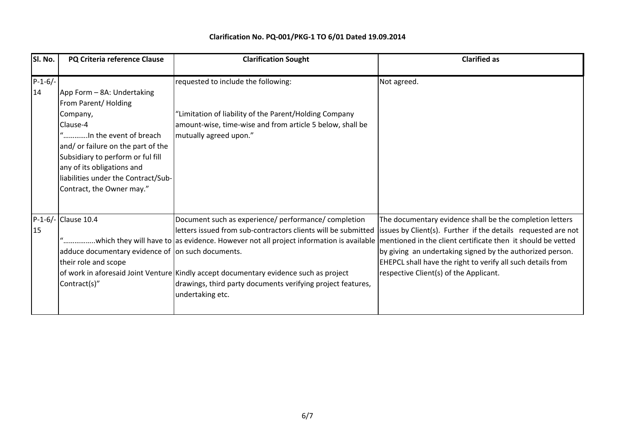| SI. No.         | PQ Criteria reference Clause                                                                                                                                                                                                                                                      | <b>Clarification Sought</b>                                                                                                                                                                                                                                                                                                                                                              | <b>Clarified as</b>                                                                                                                                                                                                                                                                                                                                            |
|-----------------|-----------------------------------------------------------------------------------------------------------------------------------------------------------------------------------------------------------------------------------------------------------------------------------|------------------------------------------------------------------------------------------------------------------------------------------------------------------------------------------------------------------------------------------------------------------------------------------------------------------------------------------------------------------------------------------|----------------------------------------------------------------------------------------------------------------------------------------------------------------------------------------------------------------------------------------------------------------------------------------------------------------------------------------------------------------|
| $P-1-6/-$<br>14 | App Form - 8A: Undertaking<br>From Parent/Holding<br>Company,<br>Clause-4<br>"In the event of breach<br>and/ or failure on the part of the<br>Subsidiary to perform or ful fill<br>any of its obligations and<br>liabilities under the Contract/Sub-<br>Contract, the Owner may." | requested to include the following:<br>"Limitation of liability of the Parent/Holding Company<br>amount-wise, time-wise and from article 5 below, shall be<br>mutually agreed upon."                                                                                                                                                                                                     | Not agreed.                                                                                                                                                                                                                                                                                                                                                    |
| 15              | P-1-6/- Clause 10.4<br>adduce documentary evidence of on such documents.<br>their role and scope<br>Contract(s)"                                                                                                                                                                  | Document such as experience/ performance/ completion<br>"which they will have to as evidence. However not all project information is available  mentioned in the client certificate then it should be vetted<br>of work in aforesaid Joint Venture Kindly accept documentary evidence such as project<br>drawings, third party documents verifying project features,<br>undertaking etc. | The documentary evidence shall be the completion letters<br>letters issued from sub-contractors clients will be submitted lissues by Client(s). Further if the details requested are not<br>by giving an undertaking signed by the authorized person.<br>EHEPCL shall have the right to verify all such details from<br>respective Client(s) of the Applicant. |